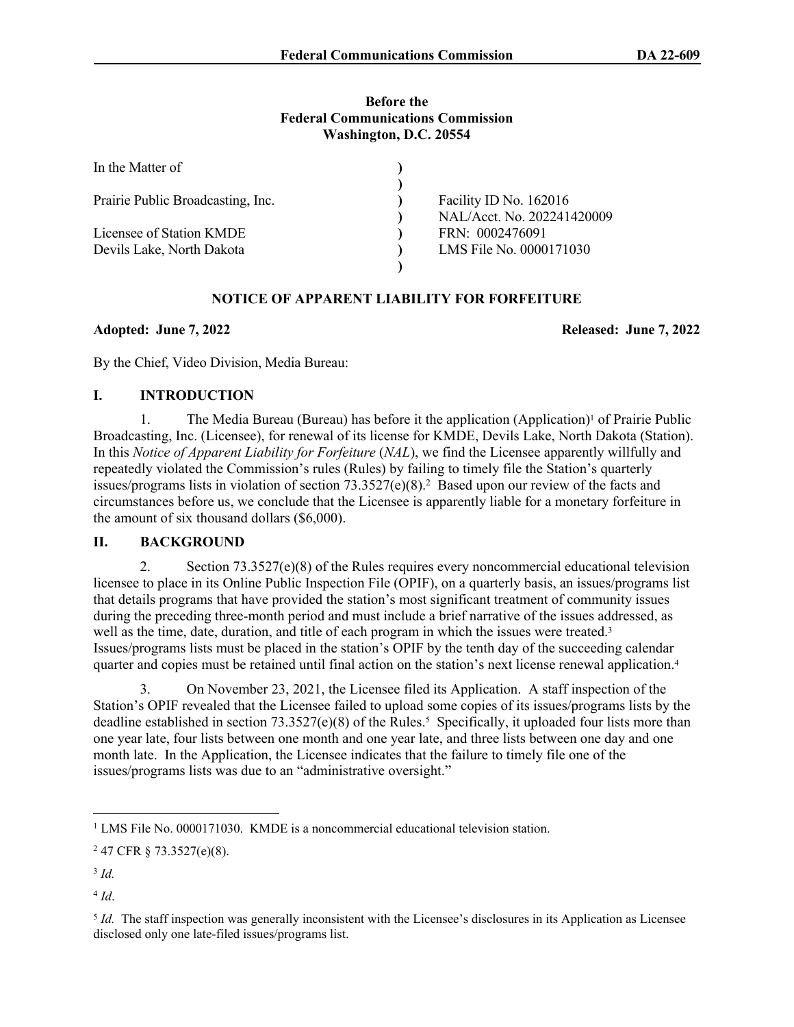#### **Before the Federal Communications Commission Washington, D.C. 20554**

| In the Matter of                  |                            |
|-----------------------------------|----------------------------|
|                                   |                            |
| Prairie Public Broadcasting, Inc. | Facility ID No. 162016     |
|                                   | NAL/Acct. No. 202241420009 |
| Licensee of Station KMDE          | FRN: 0002476091            |
| Devils Lake, North Dakota         | LMS File No. 0000171030    |
|                                   |                            |

# **NOTICE OF APPARENT LIABILITY FOR FORFEITURE**

### **Adopted: June 7, 2022 Released: June 7, 2022**

By the Chief, Video Division, Media Bureau:

### **I. INTRODUCTION**

1. The Media Bureau (Bureau) has before it the application (Application)<sup>1</sup> of Prairie Public Broadcasting, Inc. (Licensee), for renewal of its license for KMDE, Devils Lake, North Dakota (Station). In this *Notice of Apparent Liability for Forfeiture (NAL)*, we find the Licensee apparently willfully and repeatedly violated the Commission's rules (Rules) by failing to timely file the Station's quarterly issues/programs lists in violation of section 73.3527(e)(8).<sup>2</sup> Based upon our review of the facts and circumstances before us, we conclude that the Licensee is apparently liable for a monetary forfeiture in the amount of six thousand dollars (\$6,000).

# **II. BACKGROUND**

2. Section 73.3527(e)(8) of the Rules requires every noncommercial educational television licensee to place in its Online Public Inspection File (OPIF), on a quarterly basis, an issues/programs list that details programs that have provided the station's most significant treatment of community issues during the preceding three-month period and must include a brief narrative of the issues addressed, as well as the time, date, duration, and title of each program in which the issues were treated.<sup>3</sup> Issues/programs lists must be placed in the station's OPIF by the tenth day of the succeeding calendar quarter and copies must be retained until final action on the station's next license renewal application.<sup>4</sup>

3. On November 23, 2021, the Licensee filed its Application. A staff inspection of the Station's OPIF revealed that the Licensee failed to upload some copies of its issues/programs lists by the deadline established in section 73.3527(e)(8) of the Rules.<sup>5</sup> Specifically, it uploaded four lists more than one year late, four lists between one month and one year late, and three lists between one day and one month late. In the Application, the Licensee indicates that the failure to timely file one of the issues/programs lists was due to an "administrative oversight."

<sup>&</sup>lt;sup>1</sup> LMS File No. 0000171030. KMDE is a noncommercial educational television station.

<sup>2</sup> 47 CFR § 73.3527(e)(8).

<sup>3</sup> *Id.* 

<sup>4</sup> *Id*.

<sup>5</sup> *Id.* The staff inspection was generally inconsistent with the Licensee's disclosures in its Application as Licensee disclosed only one late-filed issues/programs list.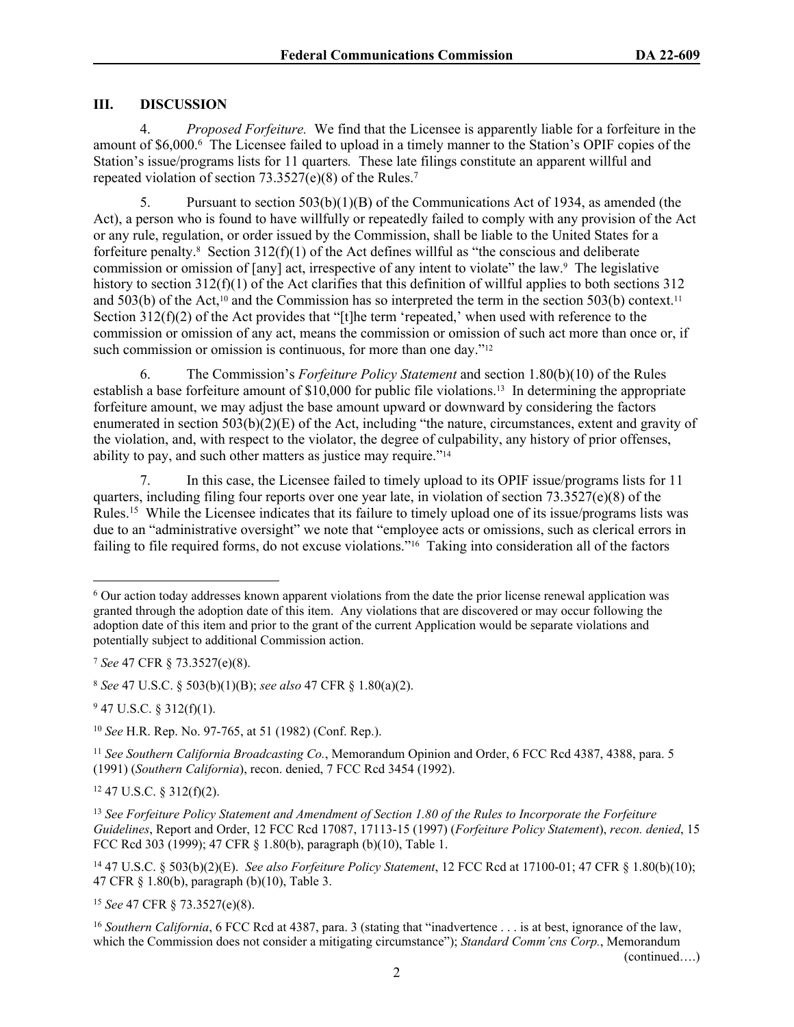## **III. DISCUSSION**

4. *Proposed Forfeiture.* We find that the Licensee is apparently liable for a forfeiture in the amount of \$6,000.<sup>6</sup> The Licensee failed to upload in a timely manner to the Station's OPIF copies of the Station's issue/programs lists for 11 quarters*.* These late filings constitute an apparent willful and repeated violation of section 73.3527(e)(8) of the Rules.<sup>7</sup>

5. Pursuant to section 503(b)(1)(B) of the Communications Act of 1934, as amended (the Act), a person who is found to have willfully or repeatedly failed to comply with any provision of the Act or any rule, regulation, or order issued by the Commission, shall be liable to the United States for a forfeiture penalty.<sup>8</sup> Section 312(f)(1) of the Act defines willful as "the conscious and deliberate commission or omission of [any] act, irrespective of any intent to violate" the law.<sup>9</sup> The legislative history to section  $312(f)(1)$  of the Act clarifies that this definition of willful applies to both sections 312 and 503(b) of the Act,<sup>10</sup> and the Commission has so interpreted the term in the section 503(b) context.<sup>11</sup> Section  $312(f)(2)$  of the Act provides that "[t]he term 'repeated,' when used with reference to the commission or omission of any act, means the commission or omission of such act more than once or, if such commission or omission is continuous, for more than one day."<sup>12</sup>

6. The Commission's *Forfeiture Policy Statement* and section 1.80(b)(10) of the Rules establish a base forfeiture amount of \$10,000 for public file violations.13 In determining the appropriate forfeiture amount, we may adjust the base amount upward or downward by considering the factors enumerated in section  $503(b)(2)(E)$  of the Act, including "the nature, circumstances, extent and gravity of the violation, and, with respect to the violator, the degree of culpability, any history of prior offenses, ability to pay, and such other matters as justice may require."<sup>14</sup>

7. In this case, the Licensee failed to timely upload to its OPIF issue/programs lists for 11 quarters, including filing four reports over one year late, in violation of section 73.3527(e)(8) of the Rules.<sup>15</sup> While the Licensee indicates that its failure to timely upload one of its issue/programs lists was due to an "administrative oversight" we note that "employee acts or omissions, such as clerical errors in failing to file required forms, do not excuse violations."16 Taking into consideration all of the factors

 $947$  U.S.C. § 312(f)(1).

 $12$  47 U.S.C. § 312(f)(2).

<sup>14</sup> 47 U.S.C. § 503(b)(2)(E). *See also Forfeiture Policy Statement*, 12 FCC Rcd at 17100-01; 47 CFR § 1.80(b)(10); 47 CFR § 1.80(b), paragraph (b)(10), Table 3.

<sup>15</sup> *See* 47 CFR § 73.3527(e)(8).

<sup>16</sup> *Southern California*, 6 FCC Rcd at 4387, para. 3 (stating that "inadvertence . . . is at best, ignorance of the law, which the Commission does not consider a mitigating circumstance"); *Standard Comm'cns Corp.*, Memorandum

(continued….)

<sup>6</sup> Our action today addresses known apparent violations from the date the prior license renewal application was granted through the adoption date of this item. Any violations that are discovered or may occur following the adoption date of this item and prior to the grant of the current Application would be separate violations and potentially subject to additional Commission action.

<sup>7</sup> *See* 47 CFR § 73.3527(e)(8).

<sup>8</sup> *See* 47 U.S.C. § 503(b)(1)(B); *see also* 47 CFR § 1.80(a)(2).

<sup>10</sup> *See* H.R. Rep. No. 97-765, at 51 (1982) (Conf. Rep.).

<sup>11</sup> *See Southern California Broadcasting Co.*, Memorandum Opinion and Order, 6 FCC Rcd 4387, 4388, para. 5 (1991) (*Southern California*), recon. denied, 7 FCC Rcd 3454 (1992).

<sup>13</sup> *See Forfeiture Policy Statement and Amendment of Section 1.80 of the Rules to Incorporate the Forfeiture Guidelines*, Report and Order, 12 FCC Rcd 17087, 17113-15 (1997) (*Forfeiture Policy Statement*), *recon. denied*, 15 FCC Rcd 303 (1999); 47 CFR § 1.80(b), paragraph (b)(10), Table 1.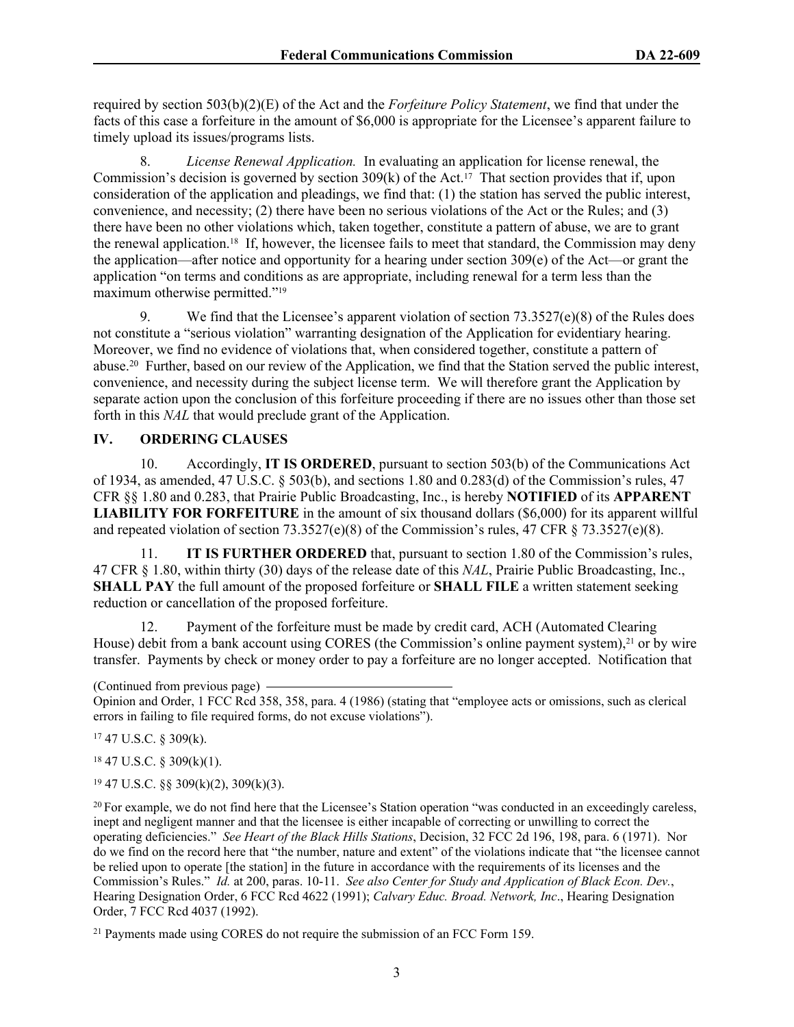required by section 503(b)(2)(E) of the Act and the *Forfeiture Policy Statement*, we find that under the facts of this case a forfeiture in the amount of \$6,000 is appropriate for the Licensee's apparent failure to timely upload its issues/programs lists.

8. *License Renewal Application.* In evaluating an application for license renewal, the Commission's decision is governed by section 309(k) of the Act.17 That section provides that if, upon consideration of the application and pleadings, we find that: (1) the station has served the public interest, convenience, and necessity; (2) there have been no serious violations of the Act or the Rules; and (3) there have been no other violations which, taken together, constitute a pattern of abuse, we are to grant the renewal application.<sup>18</sup> If, however, the licensee fails to meet that standard, the Commission may deny the application—after notice and opportunity for a hearing under section 309(e) of the Act—or grant the application "on terms and conditions as are appropriate, including renewal for a term less than the maximum otherwise permitted."<sup>19</sup>

9. We find that the Licensee's apparent violation of section 73.3527(e)(8) of the Rules does not constitute a "serious violation" warranting designation of the Application for evidentiary hearing. Moreover, we find no evidence of violations that, when considered together, constitute a pattern of abuse.<sup>20</sup> Further, based on our review of the Application, we find that the Station served the public interest, convenience, and necessity during the subject license term. We will therefore grant the Application by separate action upon the conclusion of this forfeiture proceeding if there are no issues other than those set forth in this *NAL* that would preclude grant of the Application.

### **IV. ORDERING CLAUSES**

10. Accordingly, **IT IS ORDERED**, pursuant to section 503(b) of the Communications Act of 1934, as amended, 47 U.S.C.  $\S$  503(b), and sections 1.80 and 0.283(d) of the Commission's rules, 47 CFR §§ 1.80 and 0.283, that Prairie Public Broadcasting, Inc., is hereby **NOTIFIED** of its **APPARENT LIABILITY FOR FORFEITURE** in the amount of six thousand dollars (\$6,000) for its apparent willful and repeated violation of section 73.3527(e)(8) of the Commission's rules, 47 CFR  $\S$  73.3527(e)(8).

11. **IT IS FURTHER ORDERED** that, pursuant to section 1.80 of the Commission's rules, 47 CFR § 1.80, within thirty (30) days of the release date of this *NAL*, Prairie Public Broadcasting, Inc., **SHALL PAY** the full amount of the proposed forfeiture or **SHALL FILE** a written statement seeking reduction or cancellation of the proposed forfeiture.

12. Payment of the forfeiture must be made by credit card, ACH (Automated Clearing House) debit from a bank account using CORES (the Commission's online payment system),<sup>21</sup> or by wire transfer. Payments by check or money order to pay a forfeiture are no longer accepted. Notification that

(Continued from previous page)

Opinion and Order, 1 FCC Rcd 358, 358, para. 4 (1986) (stating that "employee acts or omissions, such as clerical errors in failing to file required forms, do not excuse violations").

 $17$  47 U.S.C. § 309(k).

 $18$  47 U.S.C. § 309(k)(1).

 $19$  47 U.S.C. §§ 309(k)(2), 309(k)(3).

<sup>20</sup> For example, we do not find here that the Licensee's Station operation "was conducted in an exceedingly careless, inept and negligent manner and that the licensee is either incapable of correcting or unwilling to correct the operating deficiencies." *See Heart of the Black Hills Stations*, Decision, 32 FCC 2d 196, 198, para. 6 (1971). Nor do we find on the record here that "the number, nature and extent" of the violations indicate that "the licensee cannot be relied upon to operate [the station] in the future in accordance with the requirements of its licenses and the Commission's Rules." *Id.* at 200, paras. 10-11. *See also Center for Study and Application of Black Econ. Dev.*, Hearing Designation Order, 6 FCC Rcd 4622 (1991); *Calvary Educ. Broad. Network, Inc*., Hearing Designation Order, 7 FCC Rcd 4037 (1992).

21 Payments made using CORES do not require the submission of an FCC Form 159.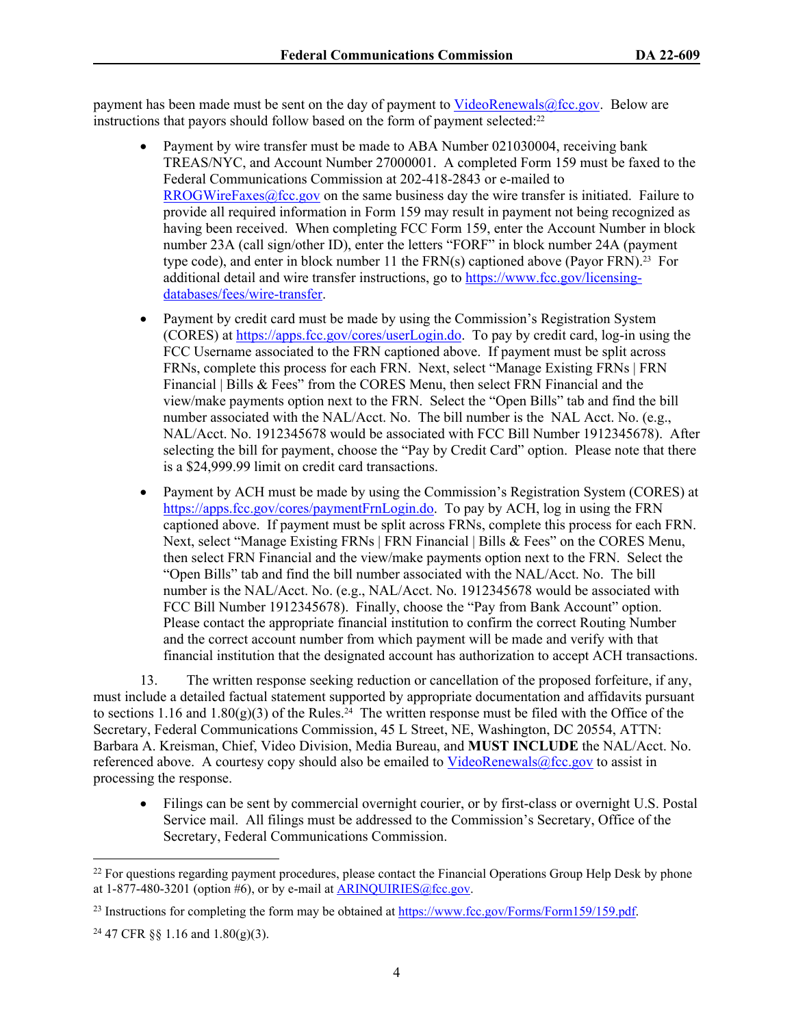payment has been made must be sent on the day of payment to [VideoRenewals@fcc.gov.](mailto:VideoRenewals@fcc.gov) Below are instructions that payors should follow based on the form of payment selected:<sup>22</sup>

- Payment by wire transfer must be made to ABA Number 021030004, receiving bank TREAS/NYC, and Account Number 27000001. A completed Form 159 must be faxed to the Federal Communications Commission at 202-418-2843 or e-mailed to [RROGWireFaxes@fcc.gov](mailto:RROGWireFaxes@fcc.gov) on the same business day the wire transfer is initiated. Failure to provide all required information in Form 159 may result in payment not being recognized as having been received. When completing FCC Form 159, enter the Account Number in block number 23A (call sign/other ID), enter the letters "FORF" in block number 24A (payment type code), and enter in block number 11 the FRN(s) captioned above (Payor FRN).<sup>23</sup> For additional detail and wire transfer instructions, go to [https://www.fcc.gov/licensing](https://www.fcc.gov/licensing-databases/fees/wire-transfer)[databases/fees/wire-transfer.](https://www.fcc.gov/licensing-databases/fees/wire-transfer)
- Payment by credit card must be made by using the Commission's Registration System (CORES) at<https://apps.fcc.gov/cores/userLogin.do>. To pay by credit card, log-in using the FCC Username associated to the FRN captioned above. If payment must be split across FRNs, complete this process for each FRN. Next, select "Manage Existing FRNs | FRN Financial | Bills & Fees" from the CORES Menu, then select FRN Financial and the view/make payments option next to the FRN. Select the "Open Bills" tab and find the bill number associated with the NAL/Acct. No. The bill number is the NAL Acct. No. (e.g., NAL/Acct. No. 1912345678 would be associated with FCC Bill Number 1912345678). After selecting the bill for payment, choose the "Pay by Credit Card" option. Please note that there is a \$24,999.99 limit on credit card transactions.
- Payment by ACH must be made by using the Commission's Registration System (CORES) at [https://apps.fcc.gov/cores/paymentFrnLogin.do.](https://apps.fcc.gov/cores/paymentFrnLogin.do) To pay by ACH, log in using the FRN captioned above. If payment must be split across FRNs, complete this process for each FRN. Next, select "Manage Existing FRNs | FRN Financial | Bills & Fees" on the CORES Menu, then select FRN Financial and the view/make payments option next to the FRN. Select the "Open Bills" tab and find the bill number associated with the NAL/Acct. No. The bill number is the NAL/Acct. No. (e.g., NAL/Acct. No. 1912345678 would be associated with FCC Bill Number 1912345678). Finally, choose the "Pay from Bank Account" option. Please contact the appropriate financial institution to confirm the correct Routing Number and the correct account number from which payment will be made and verify with that financial institution that the designated account has authorization to accept ACH transactions.

13. The written response seeking reduction or cancellation of the proposed forfeiture, if any, must include a detailed factual statement supported by appropriate documentation and affidavits pursuant to sections 1.16 and 1.80 $(g)(3)$  of the Rules.<sup>24</sup> The written response must be filed with the Office of the Secretary, Federal Communications Commission, 45 L Street, NE, Washington, DC 20554, ATTN: Barbara A. Kreisman, Chief, Video Division, Media Bureau, and **MUST INCLUDE** the NAL/Acct. No. referenced above. A courtesy copy should also be emailed to  $VideoRenewals@fcc.gov$  to assist in processing the response.

 Filings can be sent by commercial overnight courier, or by first-class or overnight U.S. Postal Service mail. All filings must be addressed to the Commission's Secretary, Office of the Secretary, Federal Communications Commission.

<sup>&</sup>lt;sup>22</sup> For questions regarding payment procedures, please contact the Financial Operations Group Help Desk by phone at  $1-877-480-3201$  (option #6), or by e-mail at ARINOUIRIES@fcc.gov.

<sup>&</sup>lt;sup>23</sup> Instructions for completing the form may be obtained at<https://www.fcc.gov/Forms/Form159/159.pdf>.

<sup>&</sup>lt;sup>24</sup> 47 CFR §§ 1.16 and 1.80(g)(3).